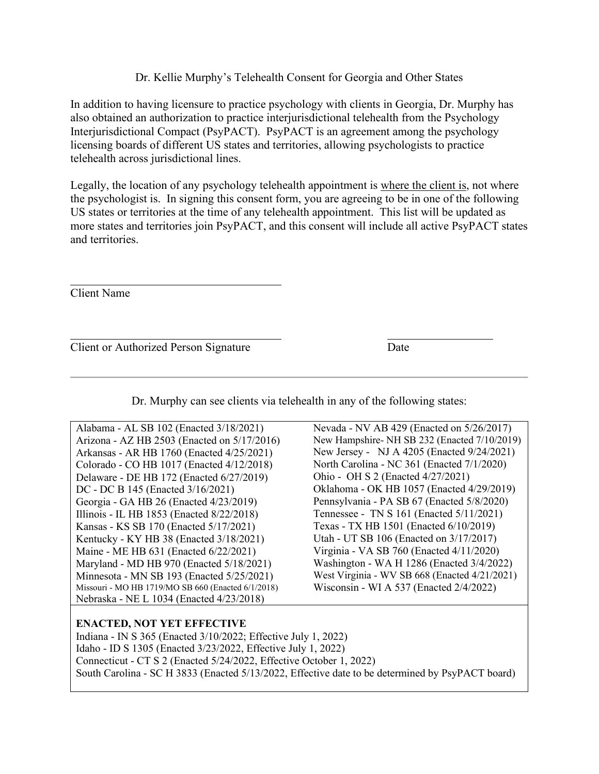## Dr. Kellie Murphy's Telehealth Consent for Georgia and Other States

In addition to having licensure to practice psychology with clients in Georgia, Dr. Murphy has also obtained an authorization to practice interjurisdictional telehealth from the Psychology Interjurisdictional Compact (PsyPACT). PsyPACT is an agreement among the psychology licensing boards of different US states and territories, allowing psychologists to practice telehealth across jurisdictional lines.

Legally, the location of any psychology telehealth appointment is where the client is, not where the psychologist is. In signing this consent form, you are agreeing to be in one of the following US states or territories at the time of any telehealth appointment. This list will be updated as more states and territories join PsyPACT, and this consent will include all active PsyPACT states and territories.

Client Name

Client or Authorized Person Signature Date

Dr. Murphy can see clients via telehealth in any of the following states:

| Alabama - AL SB 102 (Enacted 3/18/2021)            | Nevada - NV AB 429 (Enacted on 5/26/2017)     |
|----------------------------------------------------|-----------------------------------------------|
| Arizona - AZ HB 2503 (Enacted on 5/17/2016)        | New Hampshire- NH SB 232 (Enacted 7/10/2019)  |
| Arkansas - AR HB 1760 (Enacted 4/25/2021)          | New Jersey - NJ A 4205 (Enacted 9/24/2021)    |
| Colorado - CO HB 1017 (Enacted 4/12/2018)          | North Carolina - NC 361 (Enacted 7/1/2020)    |
| Delaware - DE HB 172 (Enacted 6/27/2019)           | Ohio - OH S 2 (Enacted 4/27/2021)             |
| DC - DC B 145 (Enacted 3/16/2021)                  | Oklahoma - OK HB 1057 (Enacted 4/29/2019)     |
| Georgia - GA HB 26 (Enacted 4/23/2019)             | Pennsylvania - PA SB 67 (Enacted 5/8/2020)    |
| Illinois - IL HB 1853 (Enacted 8/22/2018)          | Tennessee - TN S 161 (Enacted 5/11/2021)      |
| Kansas - KS SB 170 (Enacted 5/17/2021)             | Texas - TX HB 1501 (Enacted 6/10/2019)        |
| Kentucky - KY HB 38 (Enacted 3/18/2021)            | Utah - UT SB 106 (Enacted on 3/17/2017)       |
| Maine - ME HB 631 (Enacted 6/22/2021)              | Virginia - VA SB 760 (Enacted 4/11/2020)      |
| Maryland - MD HB 970 (Enacted 5/18/2021)           | Washington - WA H 1286 (Enacted 3/4/2022)     |
| Minnesota - MN SB 193 (Enacted 5/25/2021)          | West Virginia - WV SB 668 (Enacted 4/21/2021) |
| Missouri - MO HB 1719/MO SB 660 (Enacted 6/1/2018) | Wisconsin - WI A 537 (Enacted $2/4/2022$ )    |
| Nebraska - NE L 1034 (Enacted 4/23/2018)           |                                               |
|                                                    |                                               |

## **ENACTED, NOT YET EFFECTIVE**

Indiana - IN S 365 (Enacted 3/10/2022; Effective July 1, 2022) Idaho - ID S 1305 (Enacted 3/23/2022, Effective July 1, 2022) Connecticut - CT S 2 (Enacted 5/24/2022, Effective October 1, 2022) South Carolina - [SC H 3833](https://www.scstatehouse.gov/query.php?search=DOC&searchtext=3833&category=LEGISLATION&session=124&conid=36934662&result_pos=0&keyval=1243833&numrows=10) (Enacted 5/13/2022, Effective date to be determined by PsyPACT board)